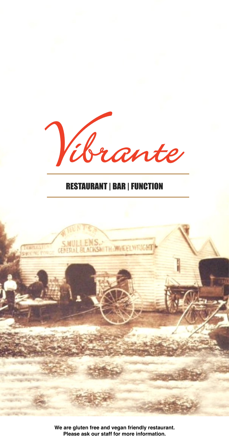

# RESTAURANT | BAR | FUNCTION



**We are gluten free and vegan friendly restaurant. Please ask our staff for more information.**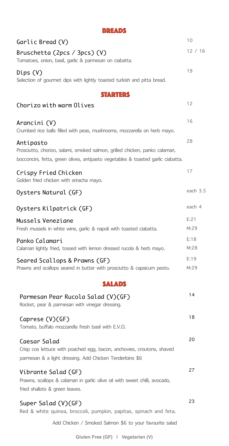| <b>BREADS</b>                                                                                                                                                                 |              |
|-------------------------------------------------------------------------------------------------------------------------------------------------------------------------------|--------------|
| Garlic Bread (V)                                                                                                                                                              | 10           |
| Bruschetta (2pcs / 3pcs) (V)<br>Tomatoes, onion, basil, garlic & parmesan on ciabatta.                                                                                        | 12/16        |
| Dips(V)<br>Selection of gourmet dips with lightly toasted turkish and pitta bread.                                                                                            | 19           |
| <b>STARTERS</b>                                                                                                                                                               |              |
| Chorizo with warm Olives                                                                                                                                                      | 12           |
| Arancini (V)<br>Crumbed rice balls filled with peas, mushrooms, mozzarella on herb mayo.                                                                                      | 16           |
| Antipasto<br>Prosciutto, chorizo, salami, smoked salmon, grilled chicken, panko calamari,<br>bocconcini, fetta, green olives, antipasto vegetables & toasted garlic ciabatta. | 28           |
| Crispy Fried Chicken<br>Golden fried chicken with sriracha mayo.                                                                                                              | 17           |
| Oysters Natural (GF)                                                                                                                                                          | each 3.5     |
| Oysters Kilpatrick (GF)                                                                                                                                                       | each 4       |
| Mussels Veneziane<br>Fresh mussels in white wine, garlic & napoli with toasted ciabatta.                                                                                      | E:21<br>M:29 |
| Panko Calamari<br>Calamari lightly fried, tossed with lemon dressed rucola & herb mayo.                                                                                       | E:18<br>M:28 |
| Seared Scallops & Prawns (GF)<br>Prawns and scallops seared in butter with prosciutto & capsicum pesto.                                                                       | E:19<br>M:29 |
| <b>SALADS</b>                                                                                                                                                                 |              |
| Parmesan Pear Rucola Salad (V)(GF)<br>Rocket, pear & parmesan with vinegar dressing.                                                                                          | 14           |
| Caprese (V)(GF)<br>Tomato, buffalo mozzarella fresh basil with E.V.O.                                                                                                         | 18           |
| Caesar Salad<br>Crisp cos lettuce with poached egg, bacon, anchovies, croutons, shaved<br>parmesan & a light dressing. Add Chicken Tenderloins \$6                            | 20           |
| Vibrante Salad (GF)<br>Prawns, scallops & calamari in garlic olive oil with sweet chilli, avocado,<br>fried shallots & green leaves.                                          | 27           |
| Super Salad (V)(GF)<br>Red & white quinoa, broccoli, pumpkin, papitas, spinach and feta.                                                                                      | 23           |
| Add Chicken / Smoked Salmon \$6 to your favourite salad                                                                                                                       |              |

**Gluten Free (GF) | Vegetarian (V)**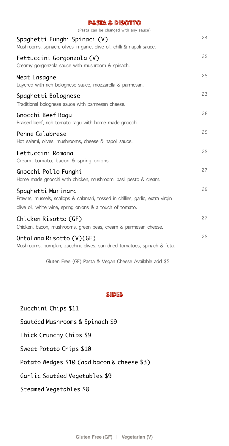| <b>PASTA &amp; RISOTTO</b>                                                                                                                                        |    |
|-------------------------------------------------------------------------------------------------------------------------------------------------------------------|----|
| (Pasta can be changed with any sauce)                                                                                                                             |    |
| Spaghetti Funghi Spinaci (V)<br>Mushrooms, spinach, olives in garlic, olive oil, chilli & napoli sauce.                                                           | 24 |
| Fettuccini Gorgonzola (V)<br>Creamy gorgonzola sauce with mushroom & spinach.                                                                                     | 25 |
| Meat Lasagne<br>Layered with rich bolognese sauce, mozzarella & parmesan.                                                                                         | 25 |
| Spaghetti Bolognese<br>Traditional bolognese sauce with parmesan cheese.                                                                                          | 23 |
| Gnocchi Beef Ragu<br>Braised beef, rich tomato ragu with home made gnocchi.                                                                                       | 28 |
| Penne Calabrese<br>Hot salami, olives, mushrooms, cheese & napoli sauce.                                                                                          | 25 |
| Fettuccini Romana<br>Cream, tomato, bacon & spring onions.                                                                                                        | 25 |
| Gnocchi Pollo Funghi<br>Home made gnocchi with chicken, mushroom, basil pesto & cream.                                                                            | 27 |
| Spaghetti Marinara<br>Prawns, mussels, scallops & calamari, tossed in chillies, garlic, extra virgin<br>olive oil, white wine, spring onions & a touch of tomato. | 29 |
| Chicken Risotto (GF)<br>Chicken, bacon, mushrooms, green peas, cream & parmesan cheese.                                                                           | 27 |
| Ortolana Risotto (V)(GF)<br>Mushrooms, pumpkin, zucchini, olives, sun dried tomatoes, spinach & feta.                                                             | 25 |

Gluten Free (GF) Pasta & Vegan Cheese Available add \$5

### SIDES

Zucchini Chips \$11 Sautéed Mushrooms & Spinach \$9 Thick Crunchy Chips \$9 Sweet Potato Chips \$10 Potato Wedges \$10 (add bacon & cheese \$3) Garlic Sautéed Vegetables \$9 Steamed Vegetables \$8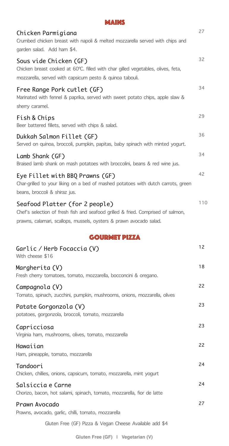| <b>MAINS</b>                                                                                                                                                                              |     |
|-------------------------------------------------------------------------------------------------------------------------------------------------------------------------------------------|-----|
| Chicken Parmigiana<br>Crumbed chicken breast with napoli & melted mozzarella served with chips and<br>garden salad. Add ham \$4.                                                          | 27  |
| Sous vide Chicken (GF)<br>Chicken breast cooked at 60°C. filled with char gilled vegetables, olives, feta,                                                                                | 32  |
| mozzarella, served with capsicum pesto & quinoa tabouli.                                                                                                                                  |     |
| Free Range Pork cutlet (GF)<br>Marinated with fennel & paprika, served with sweet potato chips, apple slaw &<br>sherry caramel.                                                           | 34  |
| Fish & Chips<br>Beer battered fillets, served with chips & salad.                                                                                                                         | 29  |
| Dukkah Salmon Fillet (GF)<br>Served on quinoa, broccoli, pumpkin, papitas, baby spinach with minted yogurt.                                                                               | 36  |
| Lamb Shank (GF)                                                                                                                                                                           | 34  |
| Braised lamb shank on mash potatoes with broccolini, beans & red wine jus.                                                                                                                |     |
| Eye Fillet with BBQ Prawns (GF)<br>Char-grilled to your liking on a bed of mashed potatoes with dutch carrots, green<br>beans, broccoli & shiraz jus.                                     | 42  |
| Seafood Platter (for 2 people)<br>Chef's selection of fresh fish and seafood grilled & fried. Comprised of salmon,<br>prawns, calamari, scallops, mussels, oysters & prawn avocado salad. | 110 |
|                                                                                                                                                                                           |     |
| <b>GOURMET PIZZA</b>                                                                                                                                                                      |     |
| Garlic / Herb Focaccia (V)<br>With cheese \$16                                                                                                                                            | 12  |
| Margherita (V)<br>Fresh cherry tomatoes, tomato, mozzarella, bocconcini & oregano.                                                                                                        | 18  |
| Campagnola (V)<br>Tomato, spinach, zucchini, pumpkin, mushrooms, onions, mozzarella, olives                                                                                               | 22  |
| Patate Gorgonzola (V)<br>potatoes, gorgonzola, broccoli, tomato, mozzarella                                                                                                               | 23  |
| Capricciosa<br>Virginia ham, mushrooms, olives, tomato, mozzarella                                                                                                                        | 23  |
| Hawaiian<br>Ham, pineapple, tomato, mozzarella                                                                                                                                            | 22  |
| Tandoori<br>Chicken, chillies, onions, capsicum, tomato, mozzarella, mint yogurt                                                                                                          | 24  |
| Salsiccia e Carne<br>Chorizo, bacon, hot salami, spinach, tomato, mozzarella, fior de latte                                                                                               | 24  |
|                                                                                                                                                                                           | 27  |
| Prawn Avocado<br>Prawns, avocado, garlic, chilli, tomato, mozzarella                                                                                                                      |     |
| Gluten Free (GF) Pizza & Vegan Cheese Available add \$4                                                                                                                                   |     |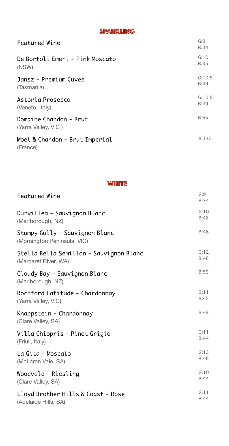# SPARKLING

| Featured Wine                                 | G:9<br>B:34 |
|-----------------------------------------------|-------------|
| De Bortoli Emeri - Pink Moscato               | G:10        |
| (NSW)                                         | B:35        |
| Jansz - Premium Cuvee                         | G:10.5      |
| (Tasmania)                                    | B:49        |
| Astoria Prosecco                              | G:10.5      |
| (Veneto, Italy)                               | B:49        |
| Domaine Chandon - Brut<br>(Yarra Valley, VIC) | B:65        |
| Moet & Chandon - Brut Imperial<br>(France)    | B:110       |

#### **WHITE**

| Featured Wine                                                 | G:9<br>B:34 |
|---------------------------------------------------------------|-------------|
| Durvillea - Sauvignon Blanc                                   | G:10        |
| (Marlborough, NZ)                                             | B:42        |
| Stumpy Gully - Sauvignon Blanc<br>(Mornington Peninsula, VIC) | B:46        |
| Stella Bella Semillon - Sauvignon Blanc                       | G:12        |
| (Margaret River, WA)                                          | B:46        |
| Cloudy Bay - Sauvignon Blanc<br>(Marlborough, NZ)             | B:59        |
| Rochford Latitude - Chardonnay                                | G:11        |
| (Yarra Valley, VIC)                                           | B:45        |
| Knappstein - Chardonnay<br>(Clare Valley, SA)                 | B:49        |
| Villa Chiopris - Pinot Grigio                                 | G:11        |
| (Friuli, Italy)                                               | B:44        |
| La Gita - Moscato                                             | G:12        |
| (McLaren Vale, SA)                                            | B:46        |
| Woodvale - Riesling                                           | G:10        |
| (Clare Valley, SA)                                            | B:44        |
| Lloyd Brother Hills & Coast - Rose                            | G:11        |
| (Adelaide Hills, SA)                                          | B:44        |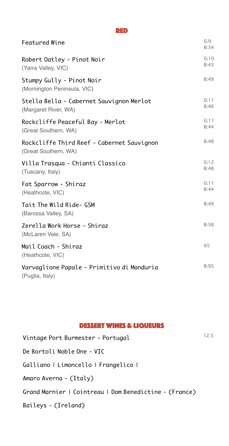#### RED

| Featured Wine                                                      | G:9<br>B:34  |
|--------------------------------------------------------------------|--------------|
| Robert Oatley - Pinot Noir<br>(Yarra Valley, VIC)                  | G:10<br>B:43 |
| Stumpy Gully - Pinot Noir<br>(Mornington Peninsula, VIC)           | B:49         |
| Stella Bella - Cabernet Sauvignon Merlot<br>(Margaret River, WA)   | G:11<br>B:46 |
| Rockcliffe Peaceful Bay - Merlot<br>(Great Southern, WA)           | G:11<br>B:44 |
| Rockcliffe Third Reef - Cabernet Sauvignon<br>(Great Southern, WA) | B:48         |
| Villa Trasqua - Chianti Classico<br>(Tuscany, Italy)               | G:12<br>B:48 |
| Fat Sparrow - Shiraz<br>(Heathcote, VIC)                           | G:11<br>B:44 |
| Tait The Wild Ride- GSM<br>(Barossa Valley, SA)                    | B:49         |
| Zerella Work Horse - Shiraz<br>(McLaren Vale, SA)                  | B:58         |
| Mail Coach - Shiraz<br>(Heathcote, VIC)                            | 65           |
| Varvaglione Papale - Primitivo di Manduria<br>(Puglia, Italy)      | <b>B:95</b>  |

### DESSERT WINES & LIQUEURS

| Vintage Port Burmester - Portugal                      | 12.5 |
|--------------------------------------------------------|------|
| De Bortoli Noble One - VIC                             |      |
| Galliano   Limoncello   Frangelico                     |      |
| Amaro Averna - (Italy)                                 |      |
| Grand Marnier   Cointreau   Dom Benedictine - (France) |      |
| Baileys - (Ireland)                                    |      |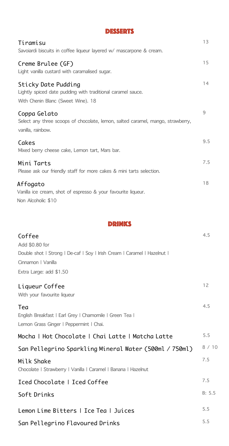| <b>DESSERTS</b>                                                                                                          |     |
|--------------------------------------------------------------------------------------------------------------------------|-----|
| Tiramisu<br>Savoiardi biscuits in coffee liqueur layered w/ mascarpone & cream.                                          | 13  |
| Creme Brulee (GF)<br>Light vanilla custard with caramalised sugar.                                                       | 15  |
| Sticky Date Pudding<br>Lightly spiced date pudding with traditional caramel sauce.<br>With Chenin Blanc (Sweet Wine). 18 | 14  |
| Coppa Gelato<br>Select any three scoops of chocolate, lemon, salted caramel, mango, strawberry,<br>vanilla, rainbow.     | 9   |
| Cakes<br>Mixed berry cheese cake, Lemon tart, Mars bar.                                                                  | 9.5 |
| Mini Tarts<br>Please ask our friendly staff for more cakes & mini tarts selection.                                       | 7.5 |
| Affogato<br>Vanilla ice cream, shot of espresso & your favourite liqueur.<br>Non Alcoholic \$10                          | 18  |

DRINKS

| Coffee                                                                 | 4.5    |
|------------------------------------------------------------------------|--------|
| Add \$0.80 for                                                         |        |
| Double shot   Strong   De-caf   Soy   Irish Cream   Caramel   Hazelnut |        |
| Cinnamon   Vanilla                                                     |        |
| Extra Large: add \$1.50                                                |        |
| Liqueur Coffee                                                         | 12     |
| With your favourite liqueur                                            |        |
| Tea                                                                    | 4.5    |
| English Breakfast   Earl Grey   Chamomile   Green Tea                  |        |
| Lemon Grass Ginger   Peppermint   Chai.                                |        |
| Mocha   Hot Chocolate   Chai Latte   Matcha Latte                      | 5.5    |
| San Pellegrino Sparkling Mineral Water (500ml / 750ml)                 | 8 / 10 |
| Milk Shake                                                             | 7.5    |
| Chocolate   Strawberry   Vanilla   Caramel   Banana   Hazelnut         |        |
| Iced Chocolate   Iced Coffee                                           | 7.5    |
| Soft Drinks                                                            | B: 5.5 |
| Lemon Lime Bitters   Ice Tea   Juices                                  | 5.5    |
| San Pellegrino Flavoured Drinks                                        | 5.5    |